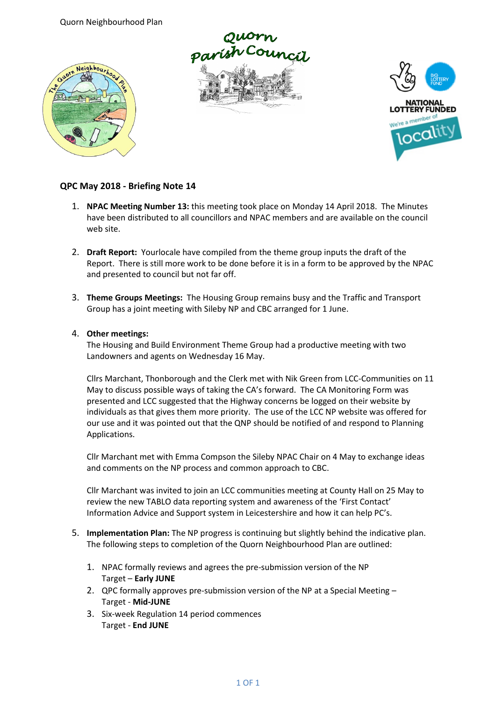Quorn Neighbourhood Plan







## **QPC May 2018 - Briefing Note 14**

- 1. **NPAC Meeting Number 13:** this meeting took place on Monday 14 April 2018. The Minutes have been distributed to all councillors and NPAC members and are available on the council web site.
- 2. **Draft Report:** Yourlocale have compiled from the theme group inputs the draft of the Report. There is still more work to be done before it is in a form to be approved by the NPAC and presented to council but not far off.
- 3. **Theme Groups Meetings:** The Housing Group remains busy and the Traffic and Transport Group has a joint meeting with Sileby NP and CBC arranged for 1 June.

## 4. **Other meetings:**

The Housing and Build Environment Theme Group had a productive meeting with two Landowners and agents on Wednesday 16 May.

Cllrs Marchant, Thonborough and the Clerk met with Nik Green from LCC-Communities on 11 May to discuss possible ways of taking the CA's forward. The CA Monitoring Form was presented and LCC suggested that the Highway concerns be logged on their website by individuals as that gives them more priority. The use of the LCC NP website was offered for our use and it was pointed out that the QNP should be notified of and respond to Planning Applications.

Cllr Marchant met with Emma Compson the Sileby NPAC Chair on 4 May to exchange ideas and comments on the NP process and common approach to CBC.

Cllr Marchant was invited to join an LCC communities meeting at County Hall on 25 May to review the new TABLO data reporting system and awareness of the 'First Contact' Information Advice and Support system in Leicestershire and how it can help PC's.

- 5. **Implementation Plan:** The NP progress is continuing but slightly behind the indicative plan. The following steps to completion of the Quorn Neighbourhood Plan are outlined:
	- 1. NPAC formally reviews and agrees the pre-submission version of the NP Target – **Early JUNE**
	- 2. QPC formally approves pre-submission version of the NP at a Special Meeting Target - **Mid-JUNE**
	- 3. Six-week Regulation 14 period commences Target - **End JUNE**